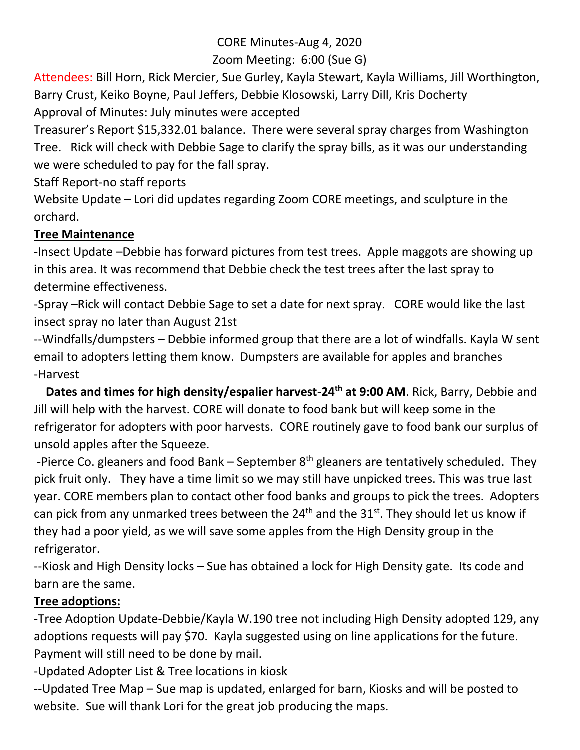# CORE Minutes-Aug 4, 2020

# Zoom Meeting: 6:00 (Sue G)

Attendees: Bill Horn, Rick Mercier, Sue Gurley, Kayla Stewart, Kayla Williams, Jill Worthington, Barry Crust, Keiko Boyne, Paul Jeffers, Debbie Klosowski, Larry Dill, Kris Docherty Approval of Minutes: July minutes were accepted

Treasurer's Report \$15,332.01 balance. There were several spray charges from Washington Tree. Rick will check with Debbie Sage to clarify the spray bills, as it was our understanding we were scheduled to pay for the fall spray.

Staff Report-no staff reports

Website Update – Lori did updates regarding Zoom CORE meetings, and sculpture in the orchard.

## **Tree Maintenance**

-Insect Update –Debbie has forward pictures from test trees. Apple maggots are showing up in this area. It was recommend that Debbie check the test trees after the last spray to determine effectiveness.

-Spray –Rick will contact Debbie Sage to set a date for next spray. CORE would like the last insect spray no later than August 21st

--Windfalls/dumpsters – Debbie informed group that there are a lot of windfalls. Kayla W sent email to adopters letting them know. Dumpsters are available for apples and branches -Harvest

 **Dates and times for high density/espalier harvest-24th at 9:00 AM**. Rick, Barry, Debbie and Jill will help with the harvest. CORE will donate to food bank but will keep some in the refrigerator for adopters with poor harvests. CORE routinely gave to food bank our surplus of unsold apples after the Squeeze.

-Pierce Co. gleaners and food Bank – September  $8<sup>th</sup>$  gleaners are tentatively scheduled. They pick fruit only. They have a time limit so we may still have unpicked trees. This was true last year. CORE members plan to contact other food banks and groups to pick the trees. Adopters can pick from any unmarked trees between the  $24<sup>th</sup>$  and the  $31<sup>st</sup>$ . They should let us know if they had a poor yield, as we will save some apples from the High Density group in the refrigerator.

--Kiosk and High Density locks – Sue has obtained a lock for High Density gate. Its code and barn are the same.

# **Tree adoptions:**

-Tree Adoption Update-Debbie/Kayla W.190 tree not including High Density adopted 129, any adoptions requests will pay \$70. Kayla suggested using on line applications for the future. Payment will still need to be done by mail.

-Updated Adopter List & Tree locations in kiosk

--Updated Tree Map – Sue map is updated, enlarged for barn, Kiosks and will be posted to website. Sue will thank Lori for the great job producing the maps.